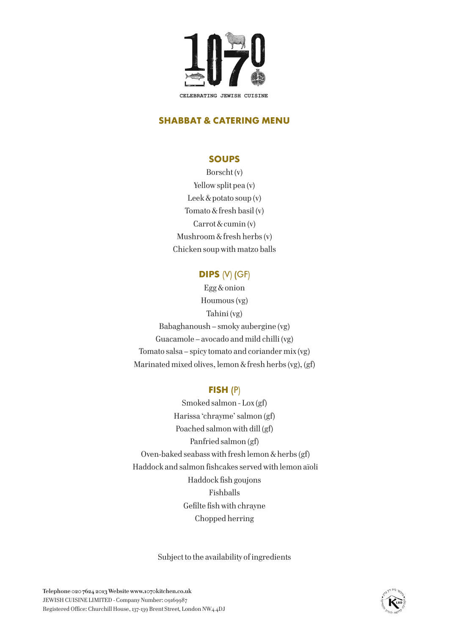

# **SHABBAT & CATERING MENU**

# **SOUPS**

Borscht (v) Yellow split pea (v) Leek & potato soup (v) Tomato & fresh basil (v) Carrot & cumin (v) Mushroom & fresh herbs (v) Chicken soup with matzo balls

# **DIPS** (V) (GF)

Egg & onion Houmous (vg) Tahini (vg) Babaghanoush – smoky aubergine (vg) Guacamole – avocado and mild chilli (vg) Tomato salsa – spicy tomato and coriander mix (vg) Marinated mixed olives, lemon & fresh herbs (vg), (gf)

# **FISH** (P)

Smoked salmon - Lox (gf) Harissa 'chrayme' salmon (gf) Poached salmon with dill (gf) Panfried salmon (gf) Oven-baked seabass with fresh lemon & herbs (gf) Haddock and salmon fishcakes served with lemon aïoli Haddock fish goujons Fishballs Gefilte fish with chrayne Chopped herring

Subject to the availability of ingredients

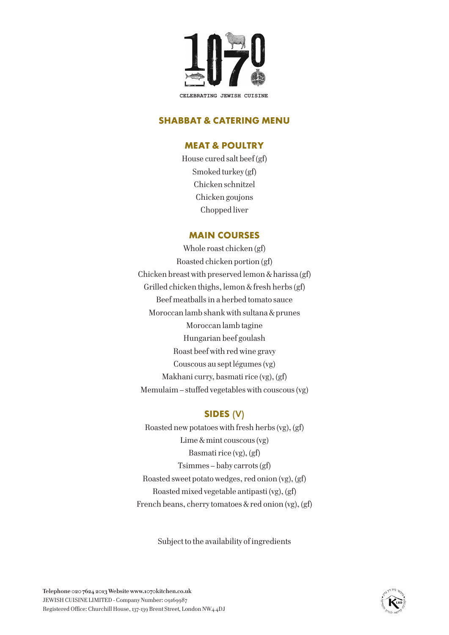

# **SHABBAT & CATERING MENU**

# **MEAT & POULTRY**

House cured salt beef (gf) Smoked turkey (gf) Chicken schnitzel Chicken goujons Chopped liver

#### **MAIN COURSES**

Whole roast chicken (gf) Roasted chicken portion (gf) Chicken breast with preserved lemon & harissa (gf) Grilled chicken thighs, lemon & fresh herbs (gf) Beef meatballs in a herbed tomato sauce Moroccan lamb shank with sultana & prunes Moroccan lamb tagine Hungarian beef goulash Roast beef with red wine gravy Couscous au sept légumes (vg) Makhani curry, basmati rice (vg), (gf) Memulaim – stuffed vegetables with couscous (vg)

# **SIDES** (V)

Roasted new potatoes with fresh herbs (vg), (gf) Lime & mint couscous (vg) Basmati rice (vg), (gf) Tsimmes – baby carrots (gf) Roasted sweet potato wedges, red onion (vg), (gf) Roasted mixed vegetable antipasti (vg), (gf) French beans, cherry tomatoes & red onion (vg), (gf)

Subject to the availability of ingredients